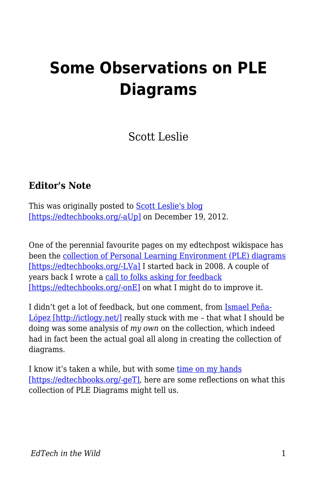# **Some Observations on PLE Diagrams**

Scott Leslie

#### **Editor's Note**

This was originally posted to **Scott Leslie's blog** [\[https://edtechbooks.org/-aUp\]](https://scottleslie.ca/edtechpost/wordpress/2012/12/19/ple-diagrams-observations/) on December 19, 2012.

One of the perennial favourite pages on my edtechpost wikispace has been the [collection of Personal Learning Environment \(PLE\) diagrams](http://edtechpost.wikispaces.com/PLE+Diagrams) [\[https://edtechbooks.org/-LVa\]](http://edtechpost.wikispaces.com/PLE+Diagrams) I started back in 2008. A couple of years back I wrote a [call to folks asking for feedback](http://www.edtechpost.ca/wordpress/2009/11/18/improving-on-the-collection-of-ple-diagrams/) [\[https://edtechbooks.org/-onE\]](http://www.edtechpost.ca/wordpress/2009/11/18/improving-on-the-collection-of-ple-diagrams/) on what I might do to improve it.

I didn't get a lot of feedback, but one comment, from [Ismael Peña-](http://ictlogy.net/)[López \[http://ictlogy.net/\]](http://ictlogy.net/) really stuck with me – that what I should be doing was some analysis of *my own* on the collection, which indeed had in fact been the actual goal all along in creating the collection of diagrams.

I know it's taken a while, but with some [time on my hands](http://www.edtechpost.ca/wordpress/2012/12/05/leaving-bccampus/) [\[https://edtechbooks.org/-geT\]](http://www.edtechpost.ca/wordpress/2012/12/05/leaving-bccampus/), here are some reflections on what this collection of PLE Diagrams might tell us.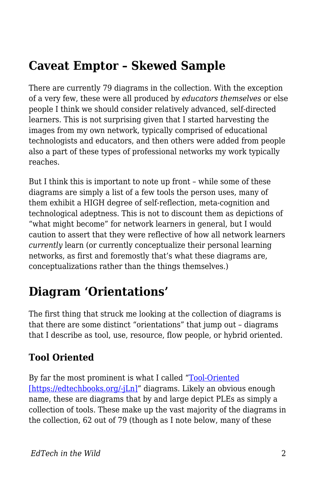### **Caveat Emptor – Skewed Sample**

There are currently 79 diagrams in the collection. With the exception of a very few, these were all produced by *educators themselves* or else people I think we should consider relatively advanced, self-directed learners. This is not surprising given that I started harvesting the images from my own network, typically comprised of educational technologists and educators, and then others were added from people also a part of these types of professional networks my work typically reaches.

But I think this is important to note up front – while some of these diagrams are simply a list of a few tools the person uses, many of them exhibit a HIGH degree of self-reflection, meta-cognition and technological adeptness. This is not to discount them as depictions of "what might become" for network learners in general, but I would caution to assert that they were reflective of how all network learners *currently* learn (or currently conceptualize their personal learning networks, as first and foremostly that's what these diagrams are, conceptualizations rather than the things themselves.)

### **Diagram 'Orientations'**

The first thing that struck me looking at the collection of diagrams is that there are some distinct "orientations" that jump out – diagrams that I describe as tool, use, resource, flow people, or hybrid oriented.

#### **Tool Oriented**

By far the most prominent is what I called ["Tool-Oriented](http://www.edtechpost.ca/ple_diagrams/index.php/tag/1/tool-oriented) [\[https://edtechbooks.org/-jLn\]"](http://www.edtechpost.ca/ple_diagrams/index.php/tag/1/tool-oriented) diagrams. Likely an obvious enough name, these are diagrams that by and large depict PLEs as simply a collection of tools. These make up the vast majority of the diagrams in the collection, 62 out of 79 (though as I note below, many of these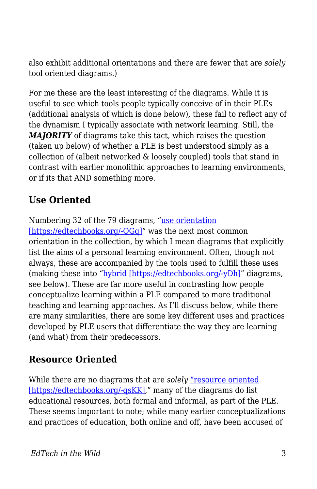also exhibit additional orientations and there are fewer that are *solely* tool oriented diagrams.)

For me these are the least interesting of the diagrams. While it is useful to see which tools people typically conceive of in their PLEs (additional analysis of which is done below), these fail to reflect any of the dynamism I typically associate with network learning. Still, the *MAJORITY* of diagrams take this tact, which raises the question (taken up below) of whether a PLE is best understood simply as a collection of (albeit networked & loosely coupled) tools that stand in contrast with earlier monolithic approaches to learning environments, or if its that AND something more.

#### **Use Oriented**

Numbering 32 of the 79 diagrams, "[use orientation](http://www.edtechpost.ca/ple_diagrams/index.php/tag/3/use-oriented) [https://edtechbooks.org/-OGq]" was the next most common orientation in the collection, by which I mean diagrams that explicitly list the aims of a personal learning environment. Often, though not always, these are accompanied by the tools used to fulfill these uses (making these into "[hybrid \[https://edtechbooks.org/-yDh\]"](http://www.edtechpost.ca/ple_diagrams/index.php/tag/8/hybrid) diagrams, see below). These are far more useful in contrasting how people conceptualize learning within a PLE compared to more traditional teaching and learning approaches. As I'll discuss below, while there are many similarities, there are some key different uses and practices developed by PLE users that differentiate the way they are learning (and what) from their predecessors.

#### **Resource Oriented**

While there are no diagrams that are *solely* ["resource oriented](http://www.edtechpost.ca/ple_diagrams/index.php/tag/6/resource-oriented) [\[https://edtechbooks.org/-qsKK\]](http://www.edtechpost.ca/ple_diagrams/index.php/tag/6/resource-oriented)," many of the diagrams do list educational resources, both formal and informal, as part of the PLE. These seems important to note; while many earlier conceptualizations and practices of education, both online and off, have been accused of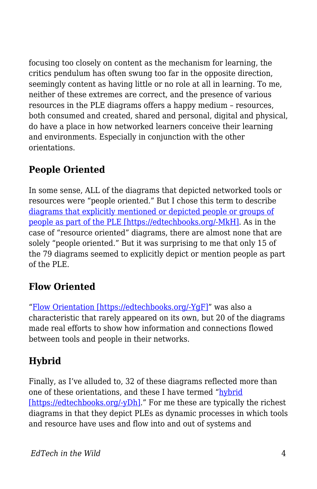focusing too closely on content as the mechanism for learning, the critics pendulum has often swung too far in the opposite direction, seemingly content as having little or no role at all in learning. To me, neither of these extremes are correct, and the presence of various resources in the PLE diagrams offers a happy medium – resources, both consumed and created, shared and personal, digital and physical, do have a place in how networked learners conceive their learning and environments. Especially in conjunction with the other orientations.

#### **People Oriented**

In some sense, ALL of the diagrams that depicted networked tools or resources were "people oriented." But I chose this term to describe [diagrams that explicitly mentioned or depicted people or groups of](http://www.edtechpost.ca/ple_diagrams/index.php/tag/7/people-oriented) [people as part of the PLE \[https://edtechbooks.org/-MkH\].](http://www.edtechpost.ca/ple_diagrams/index.php/tag/7/people-oriented) As in the case of "resource oriented" diagrams, there are almost none that are solely "people oriented." But it was surprising to me that only 15 of the 79 diagrams seemed to explicitly depict or mention people as part of the PLE.

#### **Flow Oriented**

"[Flow Orientation \[https://edtechbooks.org/-YgF\]](http://www.edtechpost.ca/ple_diagrams/index.php/tag/4/flow-oriented)" was also a characteristic that rarely appeared on its own, but 20 of the diagrams made real efforts to show how information and connections flowed between tools and people in their networks.

### **Hybrid**

Finally, as I've alluded to, 32 of these diagrams reflected more than one of these orientations, and these I have termed "[hybrid](http://www.edtechpost.ca/ple_diagrams/index.php/tag/8/hybrid) [\[https://edtechbooks.org/-yDh\].](http://www.edtechpost.ca/ple_diagrams/index.php/tag/8/hybrid)" For me these are typically the richest diagrams in that they depict PLEs as dynamic processes in which tools and resource have uses and flow into and out of systems and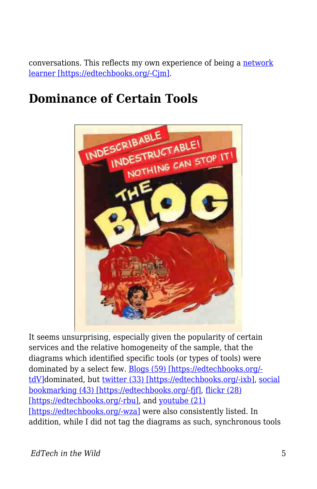conversations. This reflects my own experience of being a [network](http://www.edtechpost.ca/wordpress/2010/04/28/network-learner-redux-tlt-10-keynote/) [learner \[https://edtechbooks.org/-Cjm\].](http://www.edtechpost.ca/wordpress/2010/04/28/network-learner-redux-tlt-10-keynote/)

### **Dominance of Certain Tools**



It seems unsurprising, especially given the popularity of certain services and the relative homogeneity of the sample, that the diagrams which identified specific tools (or types of tools) were dominated by a select few. [Blogs \(59\) \[https://edtechbooks.org/](http://www.edtechpost.ca/ple_diagrams/index.php/tag/26/blogs) [tdV\]](http://www.edtechpost.ca/ple_diagrams/index.php/tag/26/blogs)dominated, but [twitter \(33\) \[https://edtechbooks.org/-ixb\],](http://www.edtechpost.ca/ple_diagrams/index.php/tag/31/twitter) [social](http://www.edtechpost.ca/ple_diagrams/index.php/tag/30/bookmarking) [bookmarking \(43\) \[https://edtechbooks.org/-fjf\]](http://www.edtechpost.ca/ple_diagrams/index.php/tag/30/bookmarking), [flickr \(28\)](http://www.edtechpost.ca/ple_diagrams/index.php/tag/35/flickr) [\[https://edtechbooks.org/-rbu\]](http://www.edtechpost.ca/ple_diagrams/index.php/tag/35/flickr), and [youtube \(21\)](http://www.edtechpost.ca/ple_diagrams/index.php/tag/28/youtube) [\[https://edtechbooks.org/-wza\]](http://www.edtechpost.ca/ple_diagrams/index.php/tag/28/youtube) were also consistently listed. In addition, while I did not tag the diagrams as such, synchronous tools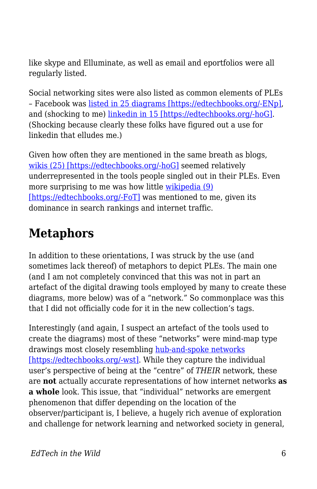like skype and Elluminate, as well as email and eportfolios were all regularly listed.

Social networking sites were also listed as common elements of PLEs – Facebook was [listed in 25 diagrams \[https://edtechbooks.org/-ENp\],](http://www.edtechpost.ca/ple_diagrams/index.php/tag/29/facebook) and (shocking to me) [linkedin in 15 \[https://edtechbooks.org/-hoG\]](http://www.edtechpost.ca/ple_diagrams/index.php/tag/39/linkedin). (Shocking because clearly these folks have figured out a use for linkedin that elludes me.)

Given how often they are mentioned in the same breath as blogs, [wikis \(25\) \[https://edtechbooks.org/-hoG\]](http://www.edtechpost.ca/ple_diagrams/index.php/tag/39/linkedin) seemed relatively underrepresented in the tools people singled out in their PLEs. Even more surprising to me was how little [wikipedia \(9\)](http://www.edtechpost.ca/ple_diagrams/index.php/tag/27/wikipedia) [\[https://edtechbooks.org/-FoT\]](http://www.edtechpost.ca/ple_diagrams/index.php/tag/27/wikipedia) was mentioned to me, given its dominance in search rankings and internet traffic.

### **Metaphors**

In addition to these orientations, I was struck by the use (and sometimes lack thereof) of metaphors to depict PLEs. The main one (and I am not completely convinced that this was not in part an artefact of the digital drawing tools employed by many to create these diagrams, more below) was of a "network." So commonplace was this that I did not officially code for it in the new collection's tags.

Interestingly (and again, I suspect an artefact of the tools used to create the diagrams) most of these "networks" were mind-map type drawings most closely resembling [hub-and-spoke networks](http://en.wikipedia.org/wiki/Spoke-hub_distribution_paradigm) [\[https://edtechbooks.org/-wst\]](http://en.wikipedia.org/wiki/Spoke-hub_distribution_paradigm). While they capture the individual user's perspective of being at the "centre" of *THEIR* network, these are **not** actually accurate representations of how internet networks **as a whole** look. This issue, that "individual" networks are emergent phenomenon that differ depending on the location of the observer/participant is, I believe, a hugely rich avenue of exploration and challenge for network learning and networked society in general,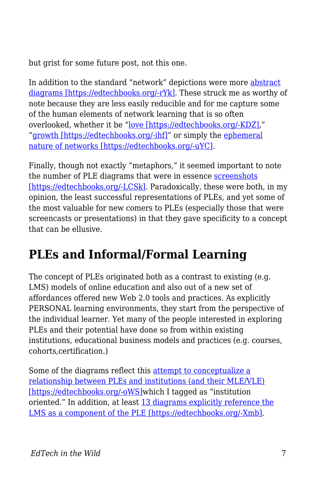but grist for some future post, not this one.

In addition to the standard "network" depictions were more [abstract](http://www.edtechpost.ca/ple_diagrams/index.php/tag/18/abstract) [diagrams \[https://edtechbooks.org/-rYk\].](http://www.edtechpost.ca/ple_diagrams/index.php/tag/18/abstract) These struck me as worthy of note because they are less easily reducible and for me capture some of the human elements of network learning that is so often overlooked, whether it be "[love \[https://edtechbooks.org/-KDZ\],](http://www.edtechpost.ca/ple_diagrams/index.php/3199658643_c710f42f03)" "[growth \[https://edtechbooks.org/-ihf\]](http://www.edtechpost.ca/ple_diagrams/index.php/MyPLEdiagram)" or simply the [ephemeral](http://www.edtechpost.ca/ple_diagrams/index.php/2311500013_c4541b75df) [nature of networks \[https://edtechbooks.org/-uYC\].](http://www.edtechpost.ca/ple_diagrams/index.php/2311500013_c4541b75df)

Finally, though not exactly "metaphors," it seemed important to note the number of PLE diagrams that were in essence [screenshots](http://www.edtechpost.ca/ple_diagrams/index.php/tag/15/screenshot) [\[https://edtechbooks.org/-LCSk\].](http://www.edtechpost.ca/ple_diagrams/index.php/tag/15/screenshot) Paradoxically, these were both, in my opinion, the least successful representations of PLEs, and yet some of the most valuable for new comers to PLEs (especially those that were screencasts or presentations) in that they gave specificity to a concept that can be ellusive.

### **PLEs and Informal/Formal Learning**

The concept of PLEs originated both as a contrast to existing (e.g. LMS) models of online education and also out of a new set of affordances offered new Web 2.0 tools and practices. As explicitly PERSONAL learning environments, they start from the perspective of the individual learner. Yet many of the people interested in exploring PLEs and their potential have done so from within existing institutions, educational business models and practices (e.g. courses, cohorts,certification.)

Some of the diagrams reflect this [attempt to conceptualize a](http://www.edtechpost.ca/ple_diagrams/index.php/tag/22/institution-oriented) [relationship between PLEs and institutions \(and their MLE/VLE\)](http://www.edtechpost.ca/ple_diagrams/index.php/tag/22/institution-oriented) [\[https://edtechbooks.org/-oWS\]](http://www.edtechpost.ca/ple_diagrams/index.php/tag/22/institution-oriented)which I tagged as "institution oriented." In addition, at least [13 diagrams explicitly reference the](http://www.edtechpost.ca/ple_diagrams/index.php/tag/37/lms) [LMS as a component of the PLE \[https://edtechbooks.org/-Xmb\].](http://www.edtechpost.ca/ple_diagrams/index.php/tag/37/lms)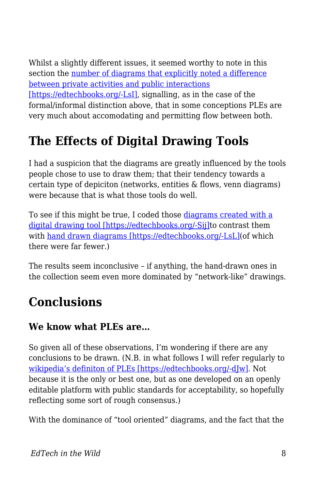Whilst a slightly different issues, it seemed worthy to note in this section the [number of diagrams that explicitly noted a difference](http://www.edtechpost.ca/ple_diagrams/index.php/tag/16/public-private) [between private activities and public interactions](http://www.edtechpost.ca/ple_diagrams/index.php/tag/16/public-private) [\[https://edtechbooks.org/-LsI\],](http://www.edtechpost.ca/ple_diagrams/index.php/tag/16/public-private) signalling, as in the case of the formal/informal distinction above, that in some conceptions PLEs are very much about accomodating and permitting flow between both.

## **The Effects of Digital Drawing Tools**

I had a suspicion that the diagrams are greatly influenced by the tools people chose to use to draw them; that their tendency towards a certain type of depiciton (networks, entities & flows, venn diagrams) were because that is what those tools do well.

To see if this might be true, I coded those [diagrams created with a](http://www.edtechpost.ca/ple_diagrams/index.php/tag/2/drawing-tool) [digital drawing tool \[https://edtechbooks.org/-Sij\]t](http://www.edtechpost.ca/ple_diagrams/index.php/tag/2/drawing-tool)o contrast them with [hand drawn diagrams \[https://edtechbooks.org/-LsL\]\(](http://www.edtechpost.ca/ple_diagrams/index.php/tag/14/hand-drawn)of which there were far fewer.)

The results seem inconclusive – if anything, the hand-drawn ones in the collection seem even more dominated by "network-like" drawings.

### **Conclusions**

#### **We know what PLEs are…**

So given all of these observations, I'm wondering if there are any conclusions to be drawn. (N.B. in what follows I will refer regularly to [wikipedia's definiton of PLEs \[https://edtechbooks.org/-dJw\]](http://en.wikipedia.org/wiki/Personal_learning_environment). Not because it is the only or best one, but as one developed on an openly editable platform with public standards for acceptability, so hopefully reflecting some sort of rough consensus.)

With the dominance of "tool oriented" diagrams, and the fact that the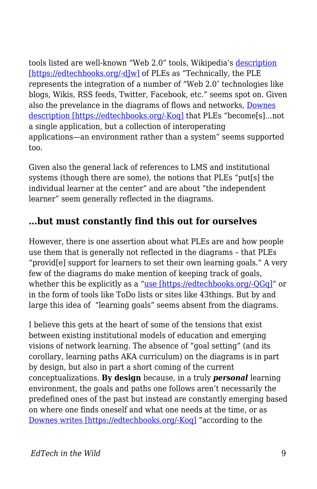tools listed are well-known "Web 2.0" tools, Wikipedia's [description](http://en.wikipedia.org/wiki/Personal_learning_environment) [\[https://edtechbooks.org/-dJw\]](http://en.wikipedia.org/wiki/Personal_learning_environment) of PLEs as "Technically, the PLE represents the integration of a number of "Web 2.0″ technologies like blogs, Wikis, RSS feeds, Twitter, Facebook, etc." seems spot on. Given also the prevelance in the diagrams of flows and networks, [Downes](http://www.elearnmag.org/subpage.cfm?section=articles&article=29-1) [description \[https://edtechbooks.org/-Koq\]](http://www.elearnmag.org/subpage.cfm?section=articles&article=29-1) that PLEs "become[s]…not a single application, but a collection of interoperating applications—an environment rather than a system" seems supported too.

Given also the general lack of references to LMS and institutional systems (though there are some), the notions that PLEs "put[s] the individual learner at the center" and are about "the independent learner" seem generally reflected in the diagrams.

#### **…but must constantly find this out for ourselves**

However, there is one assertion about what PLEs are and how people use them that is generally not reflected in the diagrams – that PLEs "provid[e] support for learners to set their own learning goals." A very few of the diagrams do make mention of keeping track of goals, whether this be explicitly as a ["use \[https://edtechbooks.org/-QGq\]"](http://www.edtechpost.ca/ple_diagrams/index.php/tag/3/use-oriented) or in the form of tools like ToDo lists or sites like 43things. But by and large this idea of "learning goals" seems absent from the diagrams.

I believe this gets at the heart of some of the tensions that exist between existing institutional models of education and emerging visions of network learning. The absence of "goal setting" (and its corollary, learning paths AKA curriculum) on the diagrams is in part by design, but also in part a short coming of the current conceptualizations. **By design** because, in a truly *personal* learning environment, the goals and paths one follows aren't necessarily the predefined ones of the past but instead are constantly emerging based on where one finds oneself and what one needs at the time, or as [Downes writes \[https://edtechbooks.org/-Koq\]](http://www.elearnmag.org/subpage.cfm?section=articles&article=29-1) "according to the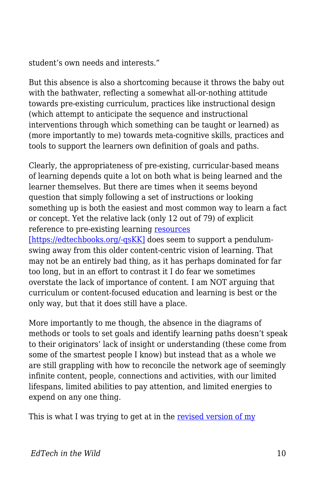student's own needs and interests."

But this absence is also a shortcoming because it throws the baby out with the bathwater, reflecting a somewhat all-or-nothing attitude towards pre-existing curriculum, practices like instructional design (which attempt to anticipate the sequence and instructional interventions through which something can be taught or learned) as (more importantly to me) towards meta-cognitive skills, practices and tools to support the learners own definition of goals and paths.

Clearly, the appropriateness of pre-existing, curricular-based means of learning depends quite a lot on both what is being learned and the learner themselves. But there are times when it seems beyond question that simply following a set of instructions or looking something up is both the easiest and most common way to learn a fact or concept. Yet the relative lack (only 12 out of 79) of explicit reference to pre-existing learning [resources](http://www.edtechpost.ca/ple_diagrams/index.php/tag/6/resource-oriented)

[\[https://edtechbooks.org/-qsKK\]](http://www.edtechpost.ca/ple_diagrams/index.php/tag/6/resource-oriented) does seem to support a pendulumswing away from this older content-centric vision of learning. That may not be an entirely bad thing, as it has perhaps dominated for far too long, but in an effort to contrast it I do fear we sometimes overstate the lack of importance of content. I am NOT arguing that curriculum or content-focused education and learning is best or the only way, but that it does still have a place.

More importantly to me though, the absence in the diagrams of methods or tools to set goals and identify learning paths doesn't speak to their originators' lack of insight or understanding (these come from some of the smartest people I know) but instead that as a whole we are still grappling with how to reconcile the network age of seemingly infinite content, people, connections and activities, with our limited lifespans, limited abilities to pay attention, and limited energies to expend on any one thing.

This is what I was trying to get at in the [revised version of my](http://www.edtechpost.ca/wordpress/2010/04/28/network-learner-redux-tlt-10-keynote/)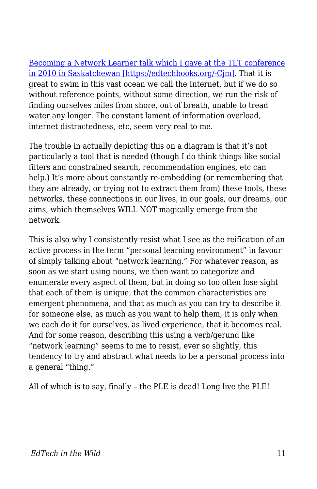[Becoming a Network Learner talk which I gave at the TLT conference](http://www.edtechpost.ca/wordpress/2010/04/28/network-learner-redux-tlt-10-keynote/) [in 2010 in Saskatchewan \[https://edtechbooks.org/-Cjm\].](http://www.edtechpost.ca/wordpress/2010/04/28/network-learner-redux-tlt-10-keynote/) That it is great to swim in this vast ocean we call the Internet, but if we do so without reference points, without some direction, we run the risk of finding ourselves miles from shore, out of breath, unable to tread water any longer. The constant lament of information overload, internet distractedness, etc, seem very real to me.

The trouble in actually depicting this on a diagram is that it's not particularly a tool that is needed (though I do think things like social filters and constrained search, recommendation engines, etc can help.) It's more about constantly re-embedding (or remembering that they are already, or trying not to extract them from) these tools, these networks, these connections in our lives, in our goals, our dreams, our aims, which themselves WILL NOT magically emerge from the network.

This is also why I consistently resist what I see as the reification of an active process in the term "personal learning environment" in favour of simply talking about "network learning." For whatever reason, as soon as we start using nouns, we then want to categorize and enumerate every aspect of them, but in doing so too often lose sight that each of them is unique, that the common characteristics are emergent phenomena, and that as much as you can try to describe it for someone else, as much as you want to help them, it is only when we each do it for ourselves, as lived experience, that it becomes real. And for some reason, describing this using a verb/gerund like "network learning" seems to me to resist, ever so slightly, this tendency to try and abstract what needs to be a personal process into a general "thing."

All of which is to say, finally – the PLE is dead! Long live the PLE!